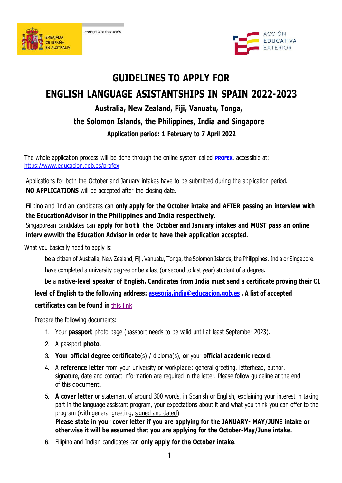



# **GUIDELINES TO APPLY FOR**

# **ENGLISH LANGUAGE ASISTANTSHIPS IN SPAIN 2022-2023**

# **Australia, New Zealand, Fiji, Vanuatu, Tonga, the Solomon Islands, the Philippines, India and Singapore Application period: 1 February to 7 April 2022**

The whole application process will be done through the online system called **[PROFEX](https://www.educacion.es/profex)**[,](https://www.educacion.es/profex) accessible at: <https://www.educacion.gob.es/profex>

Applications for both the October and January intakes have to be submitted during the application period. **NO APPLICATIONS** will be accepted after the closing date.

Filipino and Indian candidates can **only apply for the October intake and AFTER passing an interview with the EducationAdvisor in the Philippines and India respectively**.

Singaporean candidates can **apply for both the October and January intakes and MUST pass an online interviewwith the Education Advisor in order to have their application accepted.**

What you basically need to apply is:

be a citizen of Australia, New Zealand, Fiji, Vanuatu, Tonga, the Solomon Islands, the Philippines, India or Singapore. have completed a university degree or be a last (or second to last year) student of a degree.

be a **native-level speaker of English. Candidates from India must send a certificate proving their C1 level of English to the following address: [asesoria.india@educacion.gob.es](mailto:asesoria.india@educacion.gob.es) . A list of accepted certificates can be found in** [this](http://www.educacionyfp.gob.es/india/en/dam/jcr:d5f97ff5-6a2b-44d9-a5b0-22e8397ca9e0/certificados-para-la-acreditacio-n-de-niveles-de-ingle-s---autoguardado---1.pdf) link

Prepare the following documents:

- 1. Your **passport** photo page (passport needs to be valid until at least September 2023).
- 2. A passport **photo**.
- 3. **Your official degree certificate**(s) / diploma(s), **or** your **official academic record**.
- 4. A **reference letter** from your university or workplace: general greeting, letterhead, author, signature, date and contact information are required in the letter. Please follow guideline at the end of this document.
- 5. **A cover letter** or statement of around 300 words, in Spanish or English, explaining your interest in taking part in the language assistant program, your expectations about it and what you think you can offer to the program (with general greeting, signed and dated). **Please state in your cover letter if you are applying for the JANUARY- MAY/JUNE intake or otherwise it will be assumed that you are applying for the October-May/June intake.**
- 6. Filipino and Indian candidates can **only apply for the October intake**.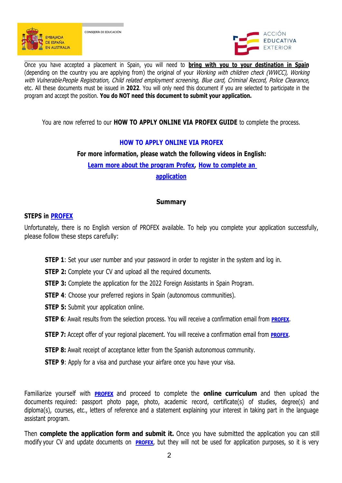



Once you have accepted a placement in Spain, you will need to **bring with you to your destination in Spain** (depending on the country you are applying from) the original of your Working with children check (WWCC), Working<br>with Vulnerable People Reaistration, Child related employment screening, Blue card, Criminal Record, Police etc. All these documents must be issued in 2022. You will only need this document if you are selected to participate in the program and accept the position. **You do NOT need this document to submit your application.**

You are now referred to our **HOW TO APPLY ONLINE VIA PROFEX GUIDE** to complete the process.

# **HOW TO APPLY ONLINE VIA PROFEX**

# **For more information, please watch the following videos in English:**

**Learn more about the [program](https://www.youtube.com/watch?v=pUeYKmUd-b8&feature=youtu.be) Profex, How [tocomplete](https://www.youtube.com/watch?v=oUQ8wXQpj28&feature=youtu.be) an**

**application**

# **Summary**

#### **STEPS in [PROFEX](https://sede.educacion.gob.es/sede/login/inicio.jjsp?idConvocatoria=17)**

Unfortunately, there is no English version of PROFEX available. To help you complete your application successfully, please follow these steps carefully:

- **STEP 1**: Set your user number and your password in order to register in the system and log in.
- **STEP 2:** Complete your CV and upload all the required documents.
- **STEP 3:** Complete the application for the 2022 Foreign Assistants in Spain Program.
- **STEP 4:** Choose your preferred regions in Spain (autonomous communities).
- **STEP 5:** Submit your application online.
- **STEP 6**: Await results from the selection process[.](https://sede.educacion.gob.es/sede/login/inicio.jjsp?idConvocatoria=17) You will receive a confirmation email from **[PROFEX](https://sede.educacion.gob.es/sede/login/inicio.jjsp?idConvocatoria=17)**.
- **STEP 7:** Accept offer of your regional placement[.](https://sede.educacion.gob.es/sede/login/inicio.jjsp?idConvocatoria=17) You will receive a confirmation email from **[PROFEX](https://sede.educacion.gob.es/sede/login/inicio.jjsp?idConvocatoria=17)**.
- **STEP 8:** Await receipt of acceptance letter from the Spanish autonomous community.
- **STEP 9:** Apply for a visa and purchase your airfare once you have your visa.

Familiarize yourself with **[PROFEX](https://sede.educacion.gob.es/sede/login/inicio.jjsp?idConvocatoria=17)** and proceed to complete the **online curriculum** and then upload the documents required: passport photo page, photo, academic record, certificate(s) of studies, degree(s) and diploma(s), courses, etc., letters of reference and a statement explaining your interest in taking part in the language assistant program.

Then **complete the application form and submit it.** Once you have submitted the application you can still modify your CV and update documents on **[PROFEX](https://sede.educacion.gob.es/sede/login/inicio.jjsp?idConvocatoria=17)**[,](https://sede.educacion.gob.es/sede/login/inicio.jjsp?idConvocatoria=17) but they will not be used for application purposes, so it is very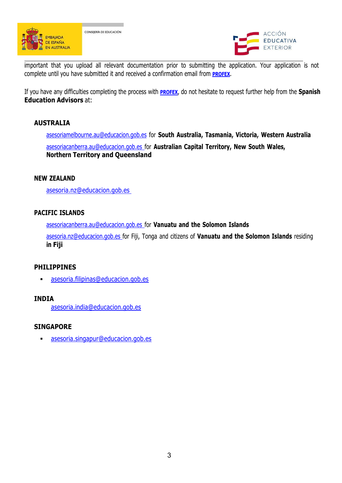



important that you upload all relevant documentation prior to submitting the application. Your application is not complete until you have submitted it and received a confirmation email from **[PROFEX](https://sede.educacion.gob.es/sede/login/inicio.jjsp?idConvocatoria=17)**[.](https://sede.educacion.gob.es/sede/login/inicio.jjsp?idConvocatoria=17)

If you have any difficulties completing the process with **[PROFEX](https://sede.educacion.gob.es/sede/login/inicio.jjsp?idConvocatoria=17)**[,](https://sede.educacion.gob.es/sede/login/inicio.jjsp?idConvocatoria=17) do not hesitate to request further help from the **Spanish Education Advisors** at:

# **AUSTRALIA**

[asesoriamelbourne.au@educacion.gob.es](mailto:asesoriamelbourne.au@educacion.gob.es) for **South Australia, Tasmania, Victoria, Western Australia** [asesoriacanberra.au@educacion.gob.es](mailto:asesoriacanberra.au@educacion.gob.es) for **Australian Capital Territory, New South Wales, Northern Territory and Queensland**

#### **NEW ZEALAND**

[asesoria.nz@educacion.gob.es](mailto:asesoria.nz@educacion.gob.es)

#### **PACIFIC ISLANDS**

[asesoriacanberra.au@educacion.gob.es](mailto:asesoriacanberra.au@educacion.gob.es) for **Vanuatu and the Solomon Islands**

[asesoria.nz@educacion.gob.es](mailto:asesoria.nz@educacion.gob.esfor) for Fiji, Tonga and citizens of **Vanuatu and the Solomon Islands** residing **in Fiji**

#### **PHILIPPINES**

[asesoria.filipinas@educacion.gob.es](mailto:asesoria.filipinas@educacion.gob.es)

#### **INDIA**

[asesoria.india@educacion.gob.es](mailto:asesoria.india@educacion.gob.es)

#### **SINGAPORE**

[asesoria.singapur@educacion.gob.es](mailto:asesoria.singapur@educacion.gob.es)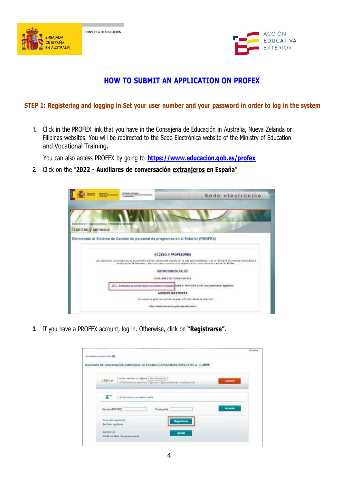



# **HOW TO SUBMIT AN APPLICATION ON PROFEX**

#### STEP 1: Registering and logging in Set your user number and your password in order to log in the system

1. Click in the PROFEX link that you have in the Consejería de Educación in Australia, Nueva Zelanda or Filipinas websites. You will be redirected to the Sede Electrónica website of the Ministry of Education and Vocational Training.

You can also access PROFEX by going to **<https://www.educacion.gob.es/profex>**

2. Click on the "**2022 - Auxiliares de conversación extranjeros en España**"

|                      | Sibicion lunav                                         | INDIVIDUAL OR REVOLUTION CONTINUES.                                               | Sede electrónica                                                                                                                                                                                                                                     |
|----------------------|--------------------------------------------------------|-----------------------------------------------------------------------------------|------------------------------------------------------------------------------------------------------------------------------------------------------------------------------------------------------------------------------------------------------|
|                      |                                                        |                                                                                   |                                                                                                                                                                                                                                                      |
|                      |                                                        |                                                                                   |                                                                                                                                                                                                                                                      |
| Tramites y servicios | Està utra en > jiaox eschimta : > Tolentes y Servicios |                                                                                   |                                                                                                                                                                                                                                                      |
|                      |                                                        | Bienvenido al Sistema de Gestión de personal de programas en el Exterior (PROFEX) |                                                                                                                                                                                                                                                      |
|                      |                                                        |                                                                                   |                                                                                                                                                                                                                                                      |
|                      |                                                        |                                                                                   | ACCESO A PROFESORES                                                                                                                                                                                                                                  |
|                      |                                                        |                                                                                   | Les algolentes convocaborias se encuentran activas. Seleccions aquella en la que está interesado y se le redivisité de manera automática a<br>la aplicación de trámites y servicos para proceder e su autenticáción camo veuente y entrar en Piofax. |
|                      |                                                        |                                                                                   | Mantenimiento dal CV                                                                                                                                                                                                                                 |
|                      |                                                        |                                                                                   | AUDILIARES DE CONVERSACIÓN                                                                                                                                                                                                                           |
|                      |                                                        |                                                                                   | 2011 - Auxiliaria de commissión extransiva en Essaña Posta el 19/04/2018 23/89 (hora perenautor española                                                                                                                                             |
|                      |                                                        |                                                                                   |                                                                                                                                                                                                                                                      |
|                      |                                                        |                                                                                   | <b>ACCESO GESTORES</b>                                                                                                                                                                                                                               |
|                      |                                                        |                                                                                   | Los asuanza gestores podrán acceder a Profes desde la dirección:                                                                                                                                                                                     |
|                      |                                                        |                                                                                   | Tribec/Tende.admission.gob.asgoofesaderm                                                                                                                                                                                                             |

**3.** If you have a PROFEX account, log in. Otherwise, click on **"Registrarse".**

| Whenever concept is 19                                                                                             | <b>Britains</b> |
|--------------------------------------------------------------------------------------------------------------------|-----------------|
| Auxiliares de conversación extranjeros en España (Convocatoria 2018-2019) e es aliza                               |                 |
|                                                                                                                    |                 |
| bitter sessin con higher   - also adunction<br>clieve<br>(Welfastrative electrics, OBWPF DEWINTERS), Cultidizes UD | <b>Acceder</b>  |
|                                                                                                                    |                 |
| <b>E</b> <sup>Rest</sup>   mole selds soussers serv                                                                |                 |
|                                                                                                                    |                 |
| Ussets (DWNE). $\overline{\phantom{a}}$<br>Contraswita<br><b>High Company</b>                                      | Accader         |
|                                                                                                                    |                 |
| ti no otta numbiska.<br><b>Registrarse</b><br>For favor, registrate                                                |                 |
| <b>AUSSING</b><br>Ayuaz                                                                                            |                 |
| Owen my pate / Ayuta para when                                                                                     |                 |
|                                                                                                                    |                 |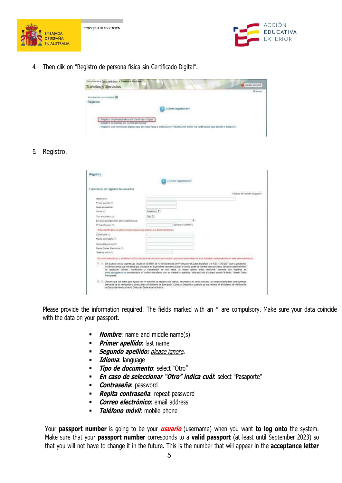



4. Then clik on "Registro de persona física sin Certificado Digital".



5. Registro.

| Registro:                                                                   |                     |                                                                                                                                                                                                                                                                                                                                                                                                                                                                                                                                                                |
|-----------------------------------------------------------------------------|---------------------|----------------------------------------------------------------------------------------------------------------------------------------------------------------------------------------------------------------------------------------------------------------------------------------------------------------------------------------------------------------------------------------------------------------------------------------------------------------------------------------------------------------------------------------------------------------|
|                                                                             | "Gámo regismente!   |                                                                                                                                                                                                                                                                                                                                                                                                                                                                                                                                                                |
| Formulatio de registro de enuarios                                          |                     |                                                                                                                                                                                                                                                                                                                                                                                                                                                                                                                                                                |
|                                                                             |                     | If Elegan de cérécrer documents                                                                                                                                                                                                                                                                                                                                                                                                                                                                                                                                |
| Herobre (*)                                                                 |                     |                                                                                                                                                                                                                                                                                                                                                                                                                                                                                                                                                                |
| Primar analysis (*)                                                         |                     |                                                                                                                                                                                                                                                                                                                                                                                                                                                                                                                                                                |
| legands spelus:                                                             |                     |                                                                                                                                                                                                                                                                                                                                                                                                                                                                                                                                                                |
| <b>WORK IT!</b>                                                             | astalano *          |                                                                                                                                                                                                                                                                                                                                                                                                                                                                                                                                                                |
| The absolution of                                                           | $341 - 7$           |                                                                                                                                                                                                                                                                                                                                                                                                                                                                                                                                                                |
| Ell hasp de seleccionar Otto específica quar.                               |                     |                                                                                                                                                                                                                                                                                                                                                                                                                                                                                                                                                                |
| 127 Import Ricard & IT                                                      | Elevision Sv3545671 |                                                                                                                                                                                                                                                                                                                                                                                                                                                                                                                                                                |
| Eate contribuator ne alizzara como tassano de occasio a la Sana electricita |                     |                                                                                                                                                                                                                                                                                                                                                                                                                                                                                                                                                                |
| Contraseful (1)                                                             |                     |                                                                                                                                                                                                                                                                                                                                                                                                                                                                                                                                                                |
| Nepta compareta (1)                                                         |                     |                                                                                                                                                                                                                                                                                                                                                                                                                                                                                                                                                                |
| Colneo Electrónico (*)                                                      |                     |                                                                                                                                                                                                                                                                                                                                                                                                                                                                                                                                                                |
| Rental Corrent Electronicial (T)                                            |                     |                                                                                                                                                                                                                                                                                                                                                                                                                                                                                                                                                                |
| Taskford Industry                                                           |                     |                                                                                                                                                                                                                                                                                                                                                                                                                                                                                                                                                                |
|                                                                             |                     | El signeo decó dinte y lei teléfono ard-V imigador se utilizarári para weider conserzaciones relativas a confirmites impresentados en esta belle electrónic                                                                                                                                                                                                                                                                                                                                                                                                    |
|                                                                             |                     |                                                                                                                                                                                                                                                                                                                                                                                                                                                                                                                                                                |
| Fierschules".                                                               |                     | 12 I'll the acuerdo con la vigente Ley Orgánica 15/1999, de 15 de diciembre, de Printección de Datos española y el R.D. 1729/2997 que la desarrolla.<br>le consolarios que los datos que iscopión en el presente formulario pasas a formar parte de nuestra base de datos: fasiendo usted derecho<br>de opposition assesso restificación y canoniación de sua darea la desea apenar estre derechos contacte con reportos en<br>ente, contidentales emiendoros un coreo electronas con su mortam y apalloca, trabuento en el campo esunto el texto. Sonar Datos |
| de Colos de sienticos de la Dirección General de la Policia                 |                     | [1] I'll Clestam cap tos dator que figuran an nº solicitud de regatio son cartos, asumendo en cato contrato. las responsabilidades que poderam.<br>delivance de la introdutibal y autoizzando al Ministerio de Educación. Cultura y Deporte la consulta de los mismos en el Bolenia de Verificación                                                                                                                                                                                                                                                            |

Please provide the information required. The fields marked with an  $*$  are compulsory. Make sure your data coincide with the data on your passport.

- **Nombre:** name and middle name(s)
- **Primer apellido**: last name
- **Segundo apellido:** please ignore**.**
- **Idioma**: language
- **Tipo de documento**: select "Otro"
- **En caso de seleccionar "Otro" indica cuál**: select "Pasaporte"
- **Contraseña:** password
- **Repita contraseña**: repeat password
- **Correo electrónico**: email address
- **Teléfono móvil**: mobile phone

Your **passport number** is going to be your **usuario** (username) when you want **to log onto** the system. Make sure that your **passport number** corresponds to a **valid passport** (at least until September 2023) so that you will not have to change it in the future. This is the number that will appear in the **acceptance letter**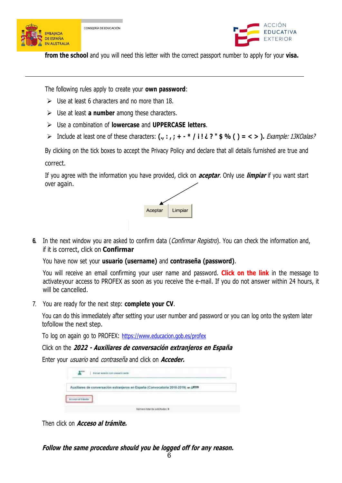



**from the school** and you will need this letter with the correct passport number to apply for your **visa.** 

The following rules apply to create your **own password**:

- $\triangleright$  Use at least 6 characters and no more than 18.
- Use at least **a number** among these characters.
- Use a combination of **lowercase** and **UPPERCASE letters**.
- > Include at least one of these characters: (., :, ; + \* / i ! ¿ ? " \$ % () = < > ). Example: 13KOalas?

By clicking on the tick boxes to accept the Privacy Policy and declare that all details furnished are true and correct.

If you agree with the information you have provided, click on **aceptar**. Only use **limpiar** if you want start over again.



**6.** In the next window you are asked to confirm data (*Confirmar Registro*). You can check the information and, if it is correct, click on **Confirmar**

You have now set your **usuario (username)** and **contraseña (password)**.

You will receive an email confirming your user name and password. **Click on the link** in the message to activateyour access to PROFEX as soon as you receive the e-mail. If you do not answer within 24 hours, it will be cancelled.

7. You are ready for the next step: **complete your CV**.

You can do this immediately after setting your user number and password or you can log onto the system later tofollow the next step.

To log on again go to PROFEX: <https://www.educacion.gob.es/profex>

Click on the **2022 - Auxiliares de conversación extranjeros en España**

Enter your usuario and contraseña and click on **Acceder.**

| anjeros en España (Convocatoria 2018-2019) en ARITO |
|-----------------------------------------------------|
|                                                     |

Then click on **Acceso al trámite.**

**Follow the same procedure should you be logged off for any reason.**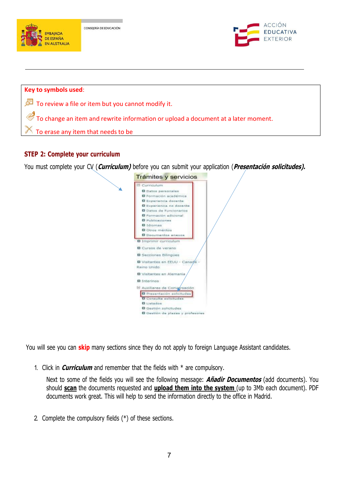

# **STEP 2: Complete your curriculum**

You must complete your CV (**Curriculum)** before you can submit your application (**Presentación solicitudes).**



You will see you can **skip** many sections since they do not apply to foreign Language Assistant candidates.

1. Click in **Curriculum** and remember that the fields with \* are compulsory.

Next to some of the fields you will see the following message: **Añadir Documentos** (add documents). You should **scan** the documents requested and **upload them into the system** (up to 3Mb each document). PDF documents work great. This will help to send the information directly to the office in Madrid.

2. Complete the compulsory fields (\*) of these sections.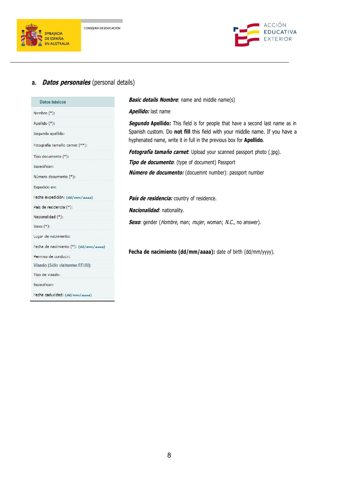



#### **a. Datos personales** (personal details)

| <b>Datos básicos</b>                  |
|---------------------------------------|
| Nombre (*);                           |
| Apellido (*):                         |
| Segundo apellido:                     |
| Fotografía tamaño carnet (**):        |
| Tipo documento (*):                   |
| Especificar:                          |
| Número documento (*):                 |
| Expedido en:                          |
| Fecha expedición: (dd/mm/aaaa)        |
| País de residencia (*):               |
| Nacionalidad (*):                     |
| Sexo (*):                             |
| Lugar de nacimiento:                  |
| Fecha de nacimiento (*): (dd/mm/aaaa) |
| Permiso de conducir:                  |
| Visado (Sólo visitantes EEUU):        |
| Tipo de visado:                       |
| Especificar:                          |
| Fecha caducidad: (dd/mm/aaaa)         |

**Basic details Nombre**: name and middle name(s)

#### **Apellido:** last name

**Segundo Apellido:** This field is for people that have a second last name as in Spanish custom. Do **not fill** this field with your middle name. If you have a hyphenated name, write it in full in the previous box for **Apellido**.

**Fotografía tamaño carnet**: Upload your scanned passport photo (.jpg).

**Tipo de documento**: (type of document) Passport

**Número de documento:** (docuemnt number): passport number

**País de residencia:** country of residence.

**Nacionalidad**: nationality.

Sexo: gender (*Hombre*, man; *mujer*, woman; N.C., no answer).

**Fecha de nacimiento (dd/mm/aaaa):** date of birth (dd/mm/yyyy).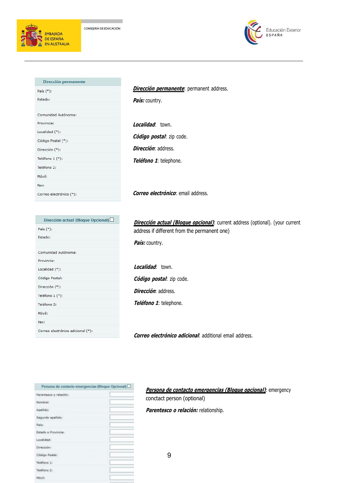



| Dirección permanente    |
|-------------------------|
| País (*):               |
| Estado:                 |
|                         |
| Comunidad Autónoma:     |
| Provincia:              |
| Localidad $(*)$ :       |
| Código Postal (*):      |
| Dirección (*):          |
| Teléfono 1 (*):         |
| Teléfono 2:             |
| Móvil:                  |
| Fax:                    |
| Correo electrónico (*): |

#### **Dirección permanente**: permanent address.

**País:** country.

**Localidad**: town. **Código postal**: zip code. **Dirección**: address. **Teléfono 1**: telephone.

**Correo electrónico**: email address.

| Dirección actual (Bloque Opcional) $\Box$ |
|-------------------------------------------|
| País $(*)$ :                              |
| Estado:                                   |
|                                           |
| Comunidad Autónoma:                       |
| Provincia:                                |
| Localidad (*):                            |
| Código Postal:                            |
| Dirección (*):                            |
| Teléfono 1 (*):                           |
| Teléfono 2:                               |
| Móvil:                                    |
| Fax:                                      |
| Correo electrónico adicional (*):         |
|                                           |

**Dirección actual (Bloque opcional)**: current address (optional). (your current address if different from the permanent one)

**País:** country.

**Localidad**: town. **Código postal**: zip code. **Dirección**: address. **Teléfono 1**: telephone.

**Correo electrónico adicional**: additional email address.

| Persona de contacto emergencias (Bloque Opcional) |  |
|---------------------------------------------------|--|
| Parentesco o relación:                            |  |
| Nombret                                           |  |
| Apellido:                                         |  |
| Segundo apellido:                                 |  |
| Pais:                                             |  |
| Estado o Provinciar.                              |  |
| Localidad:                                        |  |
| Dirección:                                        |  |
| Código Postal:                                    |  |
| Telefono 1:                                       |  |
| Teléfono 2:                                       |  |
| Móvět                                             |  |

**Persona de contacto emergencias (Bloque opcional)**: emergency conctact person (optional)

**Parentesco <sup>o</sup> relación:** relationship.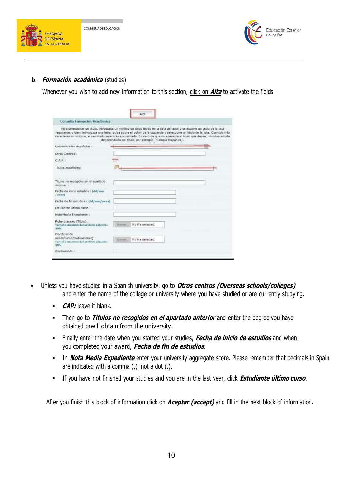



### **b. Formación académica** (studies)

Whenever you wish to add new information to this section, click on **Alta** to activate the fields.

| Consulta Formación Académica                                                                                                                                                                                                                                                                                                                                                          |                                                             |  |
|---------------------------------------------------------------------------------------------------------------------------------------------------------------------------------------------------------------------------------------------------------------------------------------------------------------------------------------------------------------------------------------|-------------------------------------------------------------|--|
| Para seleccionar un título, introduzca un mínimo de cinco letras en la caja de texto y seleccione un título de la lista<br>resultante, o bien, introduzca una letra, pulse sobre el botón de la izquierda y seleccione un título de la lista. Cuantos más<br>ceracteres introduzca, el resultado será más aproximado. En caso de que no aperezca el título que desea, introduzca toda | denominación del título, por ejemplo "Filología Hispánica". |  |
| Universidades españolas :                                                                                                                                                                                                                                                                                                                                                             |                                                             |  |
| Otros Centros I                                                                                                                                                                                                                                                                                                                                                                       |                                                             |  |
| 广大安宁                                                                                                                                                                                                                                                                                                                                                                                  |                                                             |  |
| Titulos españoles:                                                                                                                                                                                                                                                                                                                                                                    |                                                             |  |
|                                                                                                                                                                                                                                                                                                                                                                                       |                                                             |  |
| Titulos no recogidos en el apartado<br>antenor :                                                                                                                                                                                                                                                                                                                                      |                                                             |  |
| Fecha de inicio estudios : (dd/mm<br>$1a$ aaaa $3$                                                                                                                                                                                                                                                                                                                                    |                                                             |  |
| Fecha de fin estudios : (dd/mm/anna)                                                                                                                                                                                                                                                                                                                                                  |                                                             |  |
| Estudiante último curso :                                                                                                                                                                                                                                                                                                                                                             |                                                             |  |
| Note Media Expediente :                                                                                                                                                                                                                                                                                                                                                               |                                                             |  |
| Fichero anexo (Titulo):<br>Tamaño máxioso del archivo adjunto:<br>3145-                                                                                                                                                                                                                                                                                                               | No file selected.                                           |  |
| Certificación<br>académica (Calificaciones):<br>Tamaño máxime del archivu adjunto:<br>3885                                                                                                                                                                                                                                                                                            | No file selected.<br><b>Things</b>                          |  |
| Contrastado :                                                                                                                                                                                                                                                                                                                                                                         |                                                             |  |

- Unless you have studied in a Spanish university, go to **Otros centros (Overseas schools/colleges)** and enter the name of the college or university where you have studied or are currently studying.
	- **CAP:** leave it blank.
	- Then go to **Títulos no recogidos en el apartado anterior** and enter the degree you have obtained orwill obtain from the university.
	- Finally enter the date when you started your studies, **Fecha de inicio de estudios** and when you completed your award, **Fecha de fin de estudios**.
	- In **Nota Media Expediente** enter your university aggregate score. Please remember that decimals in Spain are indicated with a comma  $($ , $)$ , not a dot  $($ . $)$ .
	- If you have not finished your studies and you are in the last year, click **Estudiante último curso**.

After you finish this block of information click on **Aceptar (accept)** and fill in the next block of information.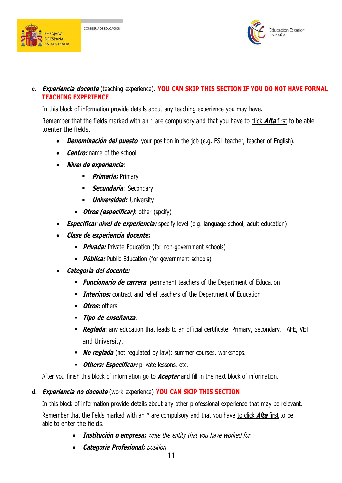



**c. Experiencia docente** (teaching experience). **YOU CAN SKIP THIS SECTION IF YOU DO NOT HAVE FORMAL TEACHING EXPERIENCE**

In this block of information provide details about any teaching experience you may have.

Remember that the fields marked with an \* are compulsory and that you have to click **Alta** first to be able toenter the fields.

- **Denominación del puesto**: your position in the job (e.g. ESL teacher, teacher of English).
- **Centro:** name of the school
- **Nivel de experiencia**:
	- **Primaria:** Primary
	- **Secundaria: Secondary**
	- *Universidad:* University
	- **Otros (especificar)**: other (spcify)
- **Especificar nivel de experiencia:** specify level (e.g. language school, adult education)
- **Clase de experiencia docente:**
	- **Privada:** Private Education (for non-government schools)
	- **Pública:** Public Education (for government schools)
- **Categoría del docente:**
	- **Funcionario de carrera**: permanent teachers of the Department of Education
	- **Interinos:** contract and relief teachers of the Department of Education
	- **Dtros:** others
	- **Tipo de enseñanza**:
	- **Reglada**: any education that leads to an official certificate: Primary, Secondary, TAFE, VET and University.
	- **No reglada** (not regulated by law): summer courses, workshops.
	- **Others: Especificar:** private lessons, etc.

After you finish this block of information go to **Aceptar** and fill in the next block of information.

#### **d. Experiencia no docente** (work experience) **YOU CAN SKIP THIS SECTION**

In this block of information provide details about any other professional experience that may be relevant. Remember that the fields marked with an \* are compulsory and that you have to click **Alta** first to be able to enter the fields.

- **Institución <sup>o</sup> empresa:** write the entity that you have worked for
- **Categoría Profesional:** position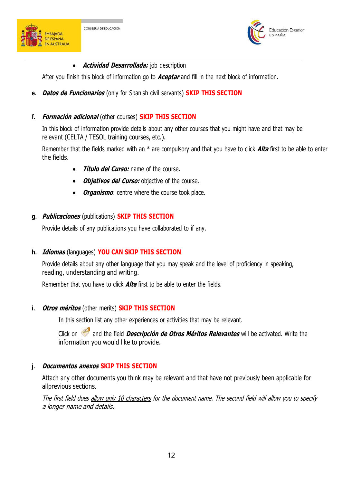



**Actividad Desarrollada:** job description

After you finish this block ofinformation go to **Aceptar** and fill in the next block of information.

**e. Datos de Funcionarios** (only for Spanish civil servants) **SKIP THIS SECTION**

# **f. Formación adicional** (other courses) **SKIP THIS SECTION**

In this block of information provide details about any other courses that you might have and that may be relevant (CELTA / TESOL training courses, etc.).

Remember that the fields marked with an \* are compulsory and that you have to click **Alta** first to be able to enter the fields.

- **Título del Curso:** name of the course.
- **Objetivos del Curso:** objective of the course.
- *Organismo*: centre where the course took place.

#### **g. Publicaciones** (publications) **SKIP THIS SECTION**

Provide details of any publications you have collaborated to if any.

# **h. Idiomas** (languages) **YOU CAN SKIP THIS SECTION**

Provide details about any other language that you may speak and the level of proficiency in speaking, reading, understanding and writing.

Remember that you have to click **Alta** first to be able to enter the fields.

# **i. Otros méritos** (other merits) **SKIP THIS SECTION**

In this section list any other experiences or activities that may be relevant.

Click on and the field **Descripción de Otros Méritos Relevantes** will be activated. Write the information you would like to provide.

# **j. Documentos anexos SKIP THIS SECTION**

Attach any other documents you think may be relevant and that have not previously been applicable for allprevious sections.

The first field does allow only 10 characters for the document name. The second field will allow you to specify <sup>a</sup> longer name and details.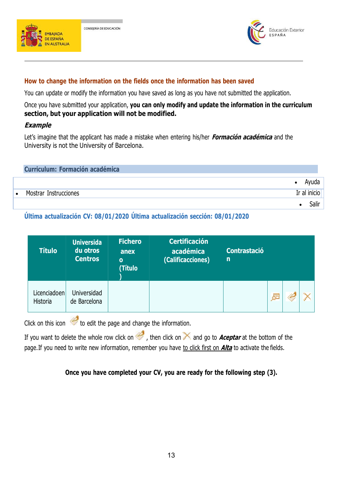



#### **How to change the information on the fields once the information has been saved**

You can update or modify the information you have saved as long as you have not submitted the application.

Once you have submitted your application, **you can only modify and update the information in the curriculum section, but your application will not be modified.**

#### **Example**

Let's imagine that the applicant has made a mistake when entering his/her **Formación académica** and the University is not the University of Barcelona.

| <b>Curriculum: Formación académica</b> |              |
|----------------------------------------|--------------|
|                                        | Ayuda        |
| Mostrar Instrucciones                  | Ir al inicio |
|                                        | Salir        |

**Última actualización CV: 08/01/2020 Última actualización sección: 08/01/2020**

| <b>Título</b>            | <b>Universida</b><br>du otros<br><b>Centros</b> | <b>Fichero</b><br>anex<br>$\bullet$<br>(Título | <b>Certificación</b><br>académica<br>(Calificacciones) | <b>Contrastació</b><br>$\mathsf{n}$ |   |  |
|--------------------------|-------------------------------------------------|------------------------------------------------|--------------------------------------------------------|-------------------------------------|---|--|
| Licenciadoen<br>Historia | Universidad<br>de Barcelona                     |                                                |                                                        |                                     | 屋 |  |

Click on this icon  $\triangle$  to edit the page and change the information.

If you want to delete the whole row click on  $\leq$ , then click on  $\times$  and go to **Aceptar** at the bottom of the page.If you need to write new information, remember you have to click first on **Alta** to activate the fields.

# **Once you have completed your CV, you are ready for the following step (3).**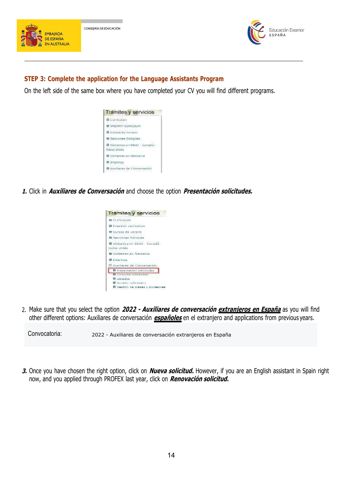



### **STEP 3: Complete the application for the Language Assistants Program**

On the left side of the same box where you have completed your CV you will find different programs.



**1.** Click in **Auxiliares de Conversación** and choose the option **Presentación solicitudes.**



2. Make sure that you select the option **2022 - Auxiliares de conversación extranjeros en España** as you will find other different options: Auxiliares de conversación **españoles** en el extranjero and applications from previous years.

Convocatoria: 2022 - Auxiliares de conversación extranjeros en España

**3.** Once you have chosen the right option, click on **Nueva solicitud.** However, if you are an English assistant in Spain right now, and you applied through PROFEX last year, click on **Renovación solicitud.**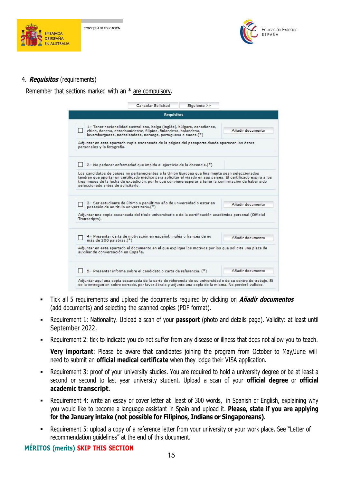



#### 4. **Requisitos** (requirements)

Remember that sections marked with an \* are compulsory.

| <b>Requisitos</b>                                                                                                                                                                                                                                                                                                                                                 |                  |
|-------------------------------------------------------------------------------------------------------------------------------------------------------------------------------------------------------------------------------------------------------------------------------------------------------------------------------------------------------------------|------------------|
| 1.- Tener nacionalidad australiana, belga (inglés), búlgara, canadiense,<br>china, danesa, estadounidense, filipina, finlandesa, holandesa,<br>luxemburguesa, neozelandesa, noruega, portuguesa o sueca.(*)                                                                                                                                                       | Añadir documento |
| Adjuntar en este apartado copia escaneada de la página del pasaporte donde aparecen los datos<br>personales y la fotografía.                                                                                                                                                                                                                                      |                  |
| 2.- No padecer enfermedad que impida el ejercicio de la docencia.(*)                                                                                                                                                                                                                                                                                              |                  |
| Los candidatos de países no pertenecientes a la Unión Europea que finalmente sean seleccionados<br>tendrán que aportar un certificado médico para solicitar el visado en sus países. El certificado expira a los<br>tres meses de la fecha de expedición, por lo que conviene esperar a tener la confirmación de haber sido<br>seleccionado antes de solicitarlo. |                  |
| 3.- Ser estudiante de último o penúltimo año de universidad o estar en<br>posesión de un título universitario.(*)                                                                                                                                                                                                                                                 | Añadir documento |
| Adjuntar una copia escaneada del título universitario o de la certificación académica personal (Official<br>Transcripts).                                                                                                                                                                                                                                         |                  |
| 4.- Presentar carta de motivación en español, inglés o francés de no<br>más de 300 palabras.(*)                                                                                                                                                                                                                                                                   | Añadir documento |
|                                                                                                                                                                                                                                                                                                                                                                   |                  |
| Adjuntar en este apartado el documento en el que explique los motivos por los que solicita una plaza de<br>auxiliar de conversación en España.                                                                                                                                                                                                                    |                  |

- Tick all5 requirements and upload the documents required by clicking on **Añadir documentos** (add documents) and selecting the scanned copies (PDF format).
- Requirement 1: Nationality. Upload a scan of your **passport** (photo and details page). Validity: at least until September 2022.
- Requirement 2: tick to indicate you do not suffer from any disease or illness that does not allow you to teach.

**Very important**: Please be aware that candidates joining the program from October to May/June will need to submit an **official medical certificate** when they lodge their VISA application.

- Requirement 3: proof of your university studies. You are required to hold a university degree or be at least a second or second to last year university student. Upload a scan of your **official degree** or **official academic transcript**.
- Requirement 4: write an essay or cover letter at least of 300 words, in Spanish or English, explaining why you would like to become a language assistant in Spain and upload it. **Please, state if you are applying for the January intake (not possible for Filipinos,Indians or Singaporeans)**.
- Requirement 5: upload a copy of a reference letter from your university or your work place. See "Letter of recommendation guidelines" at the end of this document.

# **MÉRITOS (merits) SKIP THIS SECTION**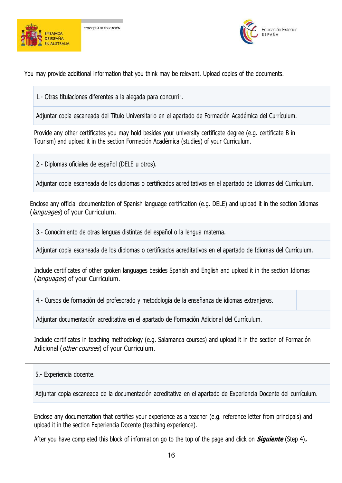



You may provide additional information that you think may be relevant. Upload copies of the documents.

1.- Otras titulaciones diferentes a la alegada para concurrir.

Adjuntar copia escaneada del Título Universitario en el apartado de Formación Académica del Currículum.

Provide any other certificates you may hold besides your university certificate degree (e.g. certificate B in Tourism) and upload it in the section Formación Académica (studies) of your Curriculum.

2.- Diplomas oficiales de español (DELE u otros).

Adjuntar copia escaneada de los diplomas o certificados acreditativos en el apartado de Idiomas del Currículum.

Enclose any official documentation of Spanish language certification (e.g. DELE) and upload it in the section Idiomas (*languages*) of your Curriculum.

3.- Conocimiento de otras lenguas distintas del español o la lengua materna.

Adjuntar copia escaneada de los diplomas o certificados acreditativos en el apartado de Idiomas del Currículum.

Include certificates of other spoken languages besides Spanish and English and upload it in the section Idiomas (*languages*) of your Curriculum.

4.- Cursos de formación del profesorado y metodología de la enseñanza de idiomas extranjeros.

Adjuntar documentación acreditativa en el apartado de Formación Adicional del Currículum.

Include certificates in teaching methodology (e.g. Salamanca courses) and upload it in the section of Formación Adicional (*other courses*) of your Curriculum.

5.- Experiencia docente.

Adjuntar copia escaneada de la documentación acreditativa en el apartado de Experiencia Docente del currículum.

Enclose any documentation that certifies your experience as a teacher (e.g. reference letter from principals) and upload it in the section Experiencia Docente (teaching experience).

After you have completed this block of information go to the top of the page and click on **Siguiente** (Step 4)**.**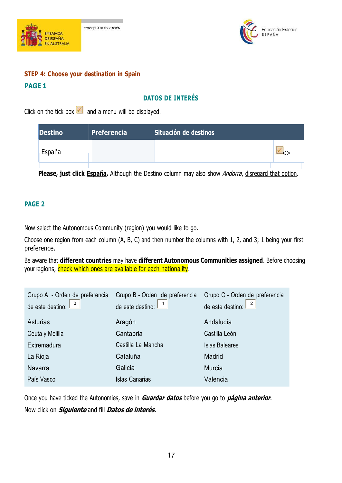



# **STEP 4: Choose your destination in Spain PAGE 1**

# **DATOS DE INTERÉS**

Click on the tick box  $\blacksquare$  and a menu will be displayed.

| <b>Destino</b> | <b>Preferencia</b> | Situación de destinos |  |
|----------------|--------------------|-----------------------|--|
| España         |                    |                       |  |
|                |                    |                       |  |

**Please, just click España.** Although the Destino column may also show Andorra, disregard that option.

# **PAGE 2**

Now select the Autonomous Community (region) you would like to go.

Choose one region from each column (A, B, C) and then number the columns with 1,2, and 3; 1 being your first preference.

Be aware that **different countries** may have **different Autonomous Communities assigned**. Before choosing yourregions, check which ones are available for each nationality.

| Grupo A - Orden de preferencia | Grupo B - Orden de preferencia                          | Grupo C - Orden de preferencia                             |  |
|--------------------------------|---------------------------------------------------------|------------------------------------------------------------|--|
| de este destino: $3 \times 3$  | de este destino: $\begin{bmatrix} 1 \\ 1 \end{bmatrix}$ | de este destino: $\begin{array}{ c c } \hline \end{array}$ |  |
| Asturias                       | Aragón                                                  | Andalucía                                                  |  |
| Ceuta y Melilla                | Cantabria                                               | Castilla León                                              |  |
| Extremadura                    | Castilla La Mancha                                      | <b>Islas Baleares</b>                                      |  |
| La Rioja                       | Cataluña                                                | Madrid                                                     |  |
| Navarra                        | Galicia                                                 | Murcia                                                     |  |
| País Vasco                     | <b>Islas Canarias</b>                                   | Valencia                                                   |  |
|                                |                                                         |                                                            |  |

Once you have ticked the Autonomies, save in **Guardar datos** before you go to **página anterior**. Now click on **Siguiente** and fill **Datos de interés**.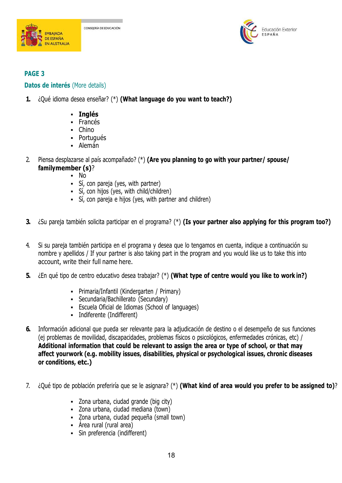





# **PAGE 3**

# **Datos de interés** (More details)

- **1.** ¿Qué idioma desea enseñar? (\*) **(What language do you want to teach?)**
	- **Inglés**
	- Francés
	- Chino
	- Portugués
	- Alemán
- 2. Piensa desplazarse al país acompañado? (\*) **(Are you planning to go with your partner/ spouse/ familymember (s)**?
	- No
	- Sí, con pareja (yes, with partner)
	- Sí, con hijos (yes, with child/children)
	- Sí, con pareja e hijos (yes, with partner and children)
- **3.** ¿Su pareja también solicita participar en elprograma? (\*) **(Is your partner also applying for this program too?)**
- 4. Si su pareja también participa en el programa y desea que lo tengamos en cuenta, indique a continuación su nombre y apellidos / If your partner is also taking part in the program and you would like us to take this into account, write their full name here.
- **5.** ¿En qué tipo de centro educativo desea trabajar? (\*) **(What type of centre would you like to work in?)**
	- Primaria/Infantil (Kindergarten / Primary)
	- Secundaria/Bachillerato (Secundary)
	- Escuela Oficial de Idiomas (School of languages)
	- Indiferente (Indifferent)
- **6.** Información adicional que pueda ser relevante para la adjudicación de destino o el desempeño de sus funciones (ej problemas de movilidad, discapacidades, problemas físicos o psicológicos, enfermedades crónicas, etc) / **Additional information that could be relevant to assign the area or type of school, or that may affect yourwork (e.g. mobility issues, disabilities, physical or psychological issues, chronic diseases or conditions, etc.)**
- 7. ¿Qué tipo de población preferiría que se le asignara? (\*) **(What kind of area would you prefer to be assigned to)**?
	- Zona urbana, ciudad grande (big city)
	- Zona urbana, ciudad mediana (town)
	- Zona urbana, ciudad pequeña (small town)
	- Área rural (rural area)
	- Sin preferencia (indifferent)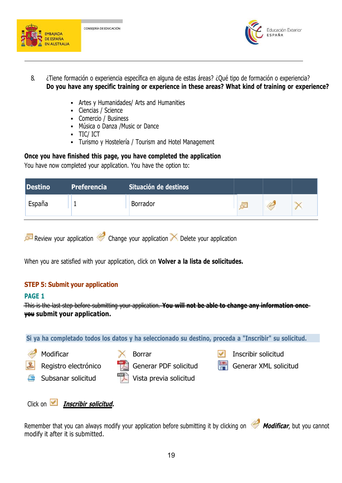



- 8. ¿Tiene formación o experiencia específica en alguna de estas áreas? ¿Qué tipo de formación o experiencia? **Do you have any specific training or experience in these areas? What kind of training or experience?**
	- Artes y Humanidades/ Arts and Humanities
	- Ciencias / Science
	- Comercio / Business
	- Música o Danza /Music or Dance
	- TIC/ ICT
	- Turismo y Hostelería / Tourism and Hotel Management

**Once you have finished this page, you have completed the application**

You have now completed your application. You have the option to:

| <b>Destino</b> | Preferencia | Situación de destinos |   |  |
|----------------|-------------|-----------------------|---|--|
| España         |             | Borrador              | 圧 |  |

|  | Review your application Change your application $\times$ Delete your application |  |
|--|----------------------------------------------------------------------------------|--|
|--|----------------------------------------------------------------------------------|--|

When you are satisfied with your application, click on **Volver a la lista de solicitudes.**

# **STEP 5: Submit your application**

#### **PAGE 1**

This is the last step before submitting your application. **You will not be able to change any information once you submit your application.**





Remember that you can always modify your application before submitting it by clicking on **Modificar**, but you cannot modify it after it is submitted.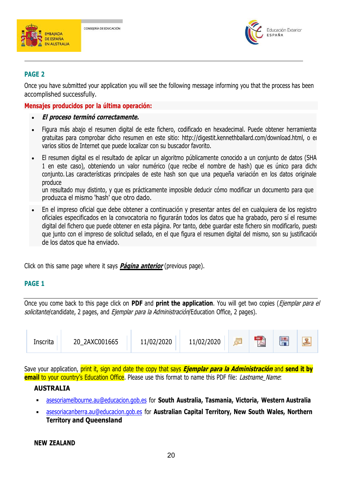



### **PAGE 2**

Once you have submitted your application you will see the following message informing you that the process has been accomplished successfully.

#### **Mensajes producidos por la última operación:**

- **El proceso terminó correctamente.**
- Figura más abajo el resumen digital de este fichero, codificado en hexadecimal. Puede obtener herramientas gratuitas para comprobar dicho resumen en este sitio: [http://digestit.kennethballard.com/download.html,](http://digestit.kennethballard.com/download.html) o en varios sitios de Internet que puede localizar con su buscador favorito.
- El resumen digital es el resultado de aplicar un algoritmo públicamente conocido a un conjunto de datos (SHA- 1 en este caso), obteniendo un valor numérico (que recibe el nombre de hash) que es único para dicho conjunto. Las características principales de este hash son que una pequeña variación en los datos originales produce

un resultado muy distinto, y que es prácticamente imposible deducir cómo modificar un documento para que produzca el mismo 'hash' que otro dado.

En el impreso oficial que debe obtener a continuación y presentar antes del en cualquiera de los registro oficiales especificados en la convocatoria no figurarán todos los datos que ha grabado, pero sí el resumen digital del fichero que puede obtener en esta página. Por tanto, debe guardar este fichero sin modificarlo, puesto que junto con el impreso de solicitud sellado, en el que figura el resumen digital del mismo, son su justificación de los datos que ha enviado.

Click on this same page where it says **Página anterior** (previous page).

#### **PAGE 1**

Once you come back to this page click on **PDF** and **print the application**. You will get two copies (Ejemplar para el solicitante/candidate, 2 pages, and *Ejemplar para la Administración*/Education Office, 2 pages).

| Inscrita | 2AXC001665<br>20 | 11/02/2020 | 11/02/2020 |  | 11.1 | $x_{M}$<br><b>CONTRACTOR</b> |  |
|----------|------------------|------------|------------|--|------|------------------------------|--|
|----------|------------------|------------|------------|--|------|------------------------------|--|

Save your application, print it, sign and date the copy that says **Ejemplar para la Administración** and **send it by email** to your country's Education Office. Please use this format to name this PDF file: *Lastname Name*:

#### **AUSTRALIA**

- [asesoriamelbourne.au@educacion.gob.es](mailto:asesoriamelbourne.au@educacion.gob.es) for **South Australia, Tasmania, Victoria, Western Australia**
- [asesoriacanberra.au@educacion.gob.es](mailto:asesoriacanberra.au@educacion.gob.es) for **Australian Capital Territory, New South Wales, Northern Territory and Queensland**

# **NEW ZEALAND**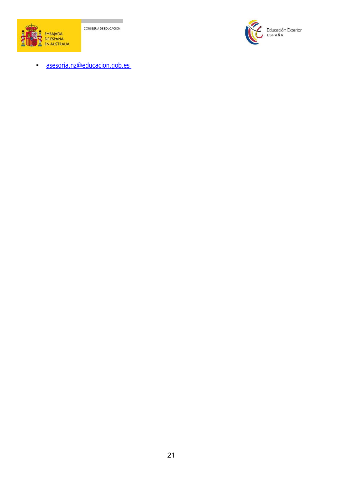



[asesoria.nz@educacion.gob.es](mailto:asesoria.nz@educacion.gob.es)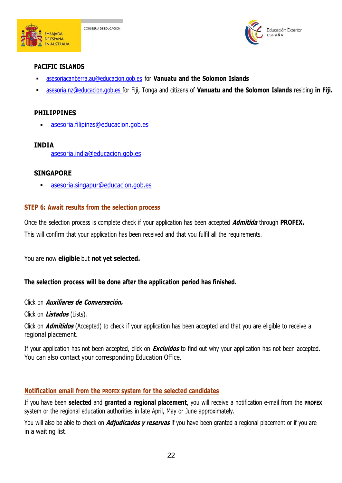



#### **PACIFIC ISLANDS**

- [asesoriacanberra.au@educacion.gob.es](mailto:asesoriacanberra.au@educacion.gob.es) for **Vanuatu and the Solomon Islands**
- [asesoria.nz@educacion.gob.es](mailto:asesoria.nz@educacion.gob.esfor) for Fiji, Tonga and citizens of **Vanuatu and the Solomon Islands** residing **in Fiji.**

#### **PHILIPPINES**

[asesoria.filipinas@educacion.gob.es](mailto:asesoria.filipinas@educacion.gob.es)

# **INDIA**

[asesoria.india@educacion.gob.es](mailto:asesoria.india@educacion.gob.es)

#### **SINGAPORE**

[asesoria.singapur@educacion.gob.es](mailto:asesoria.singapur@educacion.gob.es)

#### **STEP 6: Await results from the selection process**

Once the selection process is complete check if your application has been accepted **Admitida** through **PROFEX.** This will confirm that your application has been received and that you fulfil all the requirements.

You are now **eligible** but **not yet selected.**

#### **The selection process will be done after the application period has finished.**

Click on **Auxiliares de Conversación.**

Click on **Listados** (Lists).

Click on **Admitidos** (Accepted) to check if your application has been accepted and that you are eligible to receive a regional placement.

If your application has not been accepted, click on **Excluidos** to find out why your application has not been accepted. You can also contact your corresponding Education Office.

# **Notification email from the PROFEX system for the selected candidates**

If you have been **selected** and **granted a regional placement**, you will receive a notification e-mail from the **PROFEX** system or the regional education authorities in late April, May or June approximately.

You will also be able to check on **Adjudicados y reservas** if you have been granted a regional placement or if you are in a waiting list.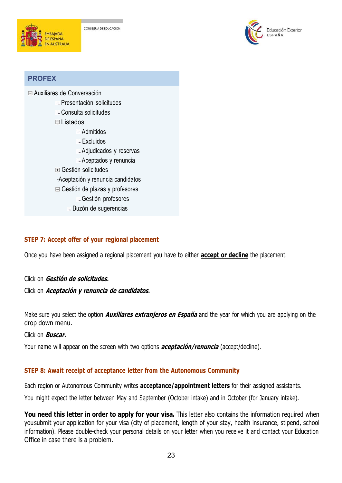



# **PROFEX**

Auxiliares de [Conversación](https://www.educacion.es/profex/jsp/gestionprofesoresauxiliares/buscadorgestionprofesoresauxiliares.do?idPrograma=4&%3Boperacion=40&%3Bdonde=Gesti%C3%83%C2%B3n%20de%20plazas%20y%20profesores%3A%20Gesti%C3%83%C2%B3n%20profesores&%3Bposicion=5&%3BurlAyuda=ayuda)

- Presentación solicitudes
- Consulta solicitudes
- [Listados](https://www.educacion.es/profex/jsp/gestionprofesoresauxiliares/buscadorgestionprofesoresauxiliares.do?idPrograma=4&%3Boperacion=40&%3Bdonde=Gesti%C3%83%C2%B3n%20de%20plazas%20y%20profesores%3A%20Gesti%C3%83%C2%B3n%20profesores&%3Bposicion=5&%3BurlAyuda=ayuda)
	- Admitidos
	- Excluidos
	- Adjudicados y reservas
	- Aceptados y renuncia
- Gestión [solicitudes](https://www.educacion.es/profex/jsp/gestionprofesoresauxiliares/buscadorgestionprofesoresauxiliares.do?idPrograma=4&%3Boperacion=40&%3Bdonde=Gesti%C3%83%C2%B3n%20de%20plazas%20y%20profesores%3A%20Gesti%C3%83%C2%B3n%20profesores&%3Bposicion=5&%3BurlAyuda=ayuda)
- -Aceptación y renuncia candidatos
- Gestión de plazas y [profesores](https://www.educacion.es/profex/jsp/gestionprofesoresauxiliares/buscadorgestionprofesoresauxiliares.do?idPrograma=4&%3Boperacion=40&%3Bdonde=Gesti%C3%83%C2%B3n%20de%20plazas%20y%20profesores%3A%20Gesti%C3%83%C2%B3n%20profesores&%3Bposicion=5&%3BurlAyuda=ayuda)
	- Gestión profesores
	- Buzón de sugerencias

# **STEP 7: Accept offer of your regional placement**

Once you have been assigned a regional placement you have to either **accept or decline** the placement.<br>Click on **Gestión de solicitudes.** 

#### Click on **Aceptación y renuncia de candidatos.**

Make sure you select the option **Auxiliares extranjeros en España** and the year for which you are applying on the drop down menu.

#### Click on **Buscar.**

Your name will appear on the screen with two options **aceptación/renuncia** (accept/decline).

#### **STEP 8: Await receipt of acceptance letter from the Autonomous Community**

Each region or Autonomous Community writes **acceptance/appointment letters** for their assigned assistants.

You might expect the letter between May and September (October intake) and in October (for January intake).

**You need this letter in order to apply for your visa.** This letter also contains the information required when yousubmit your application for your visa (city of placement, length of your stay, health insurance, stipend, school information). Please double-check your personal details on your letter when you receive it and contact your Education Office in case there is a problem.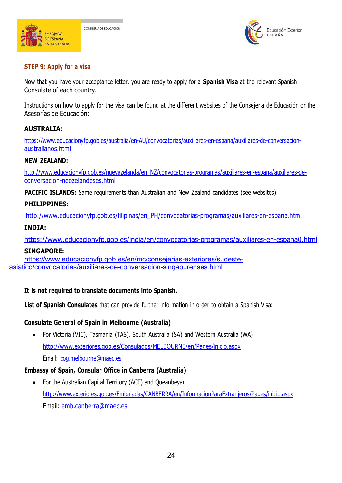



# **STEP 9: Apply for a visa**

Now that you have youracceptance letter, you are ready to apply for a **Spanish Visa** at the relevant Spanish Consulate of each country.

Instructions on how to apply for the visa can be found at the different websites of the Consejería de Educación or the Asesorías de Educación:

# **AUSTRALIA:**

[https://www.educacionyfp.gob.es/australia/en-AU/convocatorias/auxiliares-en-espana/auxiliares-de-conversacion](https://www.educacionyfp.gob.es/australia/en_AU/convocatorias/auxiliares-en-espana/auxiliares-de-conversacion-australianos.html) [australianos.html](https://www.educacionyfp.gob.es/australia/en_AU/convocatorias/auxiliares-en-espana/auxiliares-de-conversacion-australianos.html)

#### **NEW ZEALAND:**

[http://www.educacionyfp.gob.es/nuevazelanda/en\\_NZ/convocatorias-programas/auxiliares-en-espana/auxiliares-de](http://www.educacionyfp.gob.es/nuevazelanda/en_NZ/convocatorias-programas/auxiliares-en-espana/auxiliares-de-conversacion-neozelandeses.html) [conversacion-neozelandeses.html](http://www.educacionyfp.gob.es/nuevazelanda/en_NZ/convocatorias-programas/auxiliares-en-espana/auxiliares-de-conversacion-neozelandeses.html)

**PACIFIC ISLANDS:** Same requirements than Australian and New Zealand candidates (see websites)

# **PHILIPPINES:**

[http://www.educacionyfp.gob.es/filipinas/en\\_PH/convocatorias-programas/auxiliares-en-espana.html](http://www.educacionyfp.gob.es/filipinas/en_PH/convocatorias-programas/auxiliares-en-espana.html)

# **INDIA:**

<https://www.educacionyfp.gob.es/india/en/convocatorias-programas/auxiliares-en-espana0.html>

#### **SINGAPORE:**

[https://www.educacionyfp.gob.es/en/mc/consejerias-exteriores/sudeste](https://www.educacionyfp.gob.es/en/mc/consejerias-exteriores/sudeste-asiatico/convocatorias/auxiliares-de-conversacion-singapurenses.html) asiatico/convocatorias/auxiliares-de-conversacion-singapurenses.html

# **It is not required to translate documents into Spanish.**

**List of Spanish Consulates** that can provide further information in order to obtain a Spanish Visa:

# **Consulate General of Spain in Melbourne (Australia)**

 For Victoria (VIC), Tasmania (TAS), South Australia (SA) and Western Australia (WA) <http://www.exteriores.gob.es/Consulados/MELBOURNE/en/Pages/inicio.aspx> Email: [cog.melbourne@maec.es](mailto:cog.melbourne@maec.es)

# **Embassy of Spain, Consular Office in Canberra (Australia)**

 For the Australian Capital Territory (ACT) and Queanbeyan <http://www.exteriores.gob.es/Embajadas/CANBERRA/en/InformacionParaExtranjeros/Pages/inicio.aspx> Email: [emb.canberra@maec.es](mailto:emb.canberra@maec.es)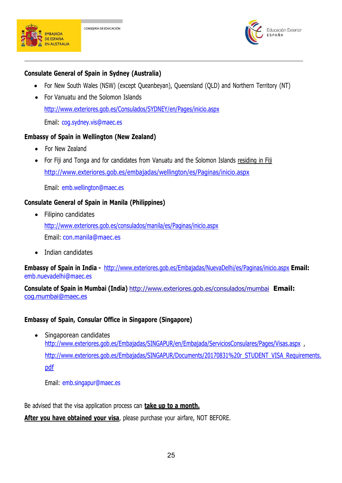



### **Consulate General of Spain in Sydney (Australia)**

- For New South Wales (NSW) (except Queanbeyan), Queensland (QLD) and Northern Territory (NT)
- For Vanuatu and the Solomon Islands <http://www.exteriores.gob.es/Consulados/SYDNEY/en/Pages/inicio.aspx> Email: [cog.sydney.vis@maec.es](mailto:cog.sydney.vis@maec.es)

#### **Embassy of Spain in Wellington (New Zealand)**

- For New Zealand
- For Fiji and Tonga and for candidates from Vanuatu and the Solomon Islands residing in Fiji <http://www.exteriores.gob.es/embajadas/wellington/es/Paginas/inicio.aspx>

Email: [emb.wellington@maec.es](mailto:emb.wellington@maec.es)

#### **Consulate General of Spain in Manila (Philippines)**

- Filipino candidates <http://www.exteriores.gob.es/consulados/manila/es/Paginas/inicio.aspx> Email: [con.manila@maec.es](mailto:con.manila@maec.es)
- Indian candidates

**Embassy of Spain in India -**<http://www.exteriores.gob.es/Embajadas/NuevaDelhi/es/Paginas/inicio.aspx> **Email:** [emb.nuevadelhi@maec.es](mailto:emb.nuevadelhi@maec.es)

**Consulate of Spain in Mumbai (India)** <http://www.exteriores.gob.es/consulados/mumbai> **Email:** [cog.mumbai@maec.es](mailto:cog.mumbai@maec.es)

#### **Embassy of Spain, Consular Office in Singapore (Singapore)**

• Singaporean candidates <http://www.exteriores.gob.es/Embajadas/SINGAPUR/en/Embajada/ServiciosConsulares/Pages/Visas.aspx> , [http://www.exteriores.gob.es/Embajadas/SINGAPUR/Documents/20170831%20r\\_STUDENT\\_VISA\\_Requirements.](http://www.exteriores.gob.es/Embajadas/SINGAPUR/Documents/20170831%20r_STUDENT_VISA_Requirements.pdf) [pdf](http://www.exteriores.gob.es/Embajadas/SINGAPUR/Documents/20170831%20r_STUDENT_VISA_Requirements.pdf)

Email: [emb.singapur@maec.es](mailto:emb.singapur@maec.es)

Be advised that the visa application process can **take up to a month.**

**After you have obtained your visa**, please purchase your airfare, NOT BEFORE.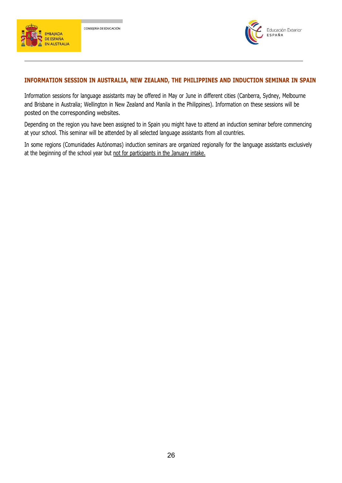



#### **INFORMATION SESSION IN AUSTRALIA, NEW ZEALAND, THE PHILIPPINES AND INDUCTION SEMINAR IN SPAIN**

Information sessions for language assistants may be offered in May or June in different cities (Canberra, Sydney, Melbourne and Brisbane in Australia; Wellington in New Zealand and Manila in the Philippines). Information on these sessions will be posted on the corresponding websites.

Depending on the region you have been assigned to in Spain you might have to attend an induction seminar before commencing at your school. This seminar will be attended by all selected language assistants from all countries.

In some regions (Comunidades Autónomas) induction seminars are organized regionally for the language assistants exclusively at the beginning of the school year but not for participants in the January intake.